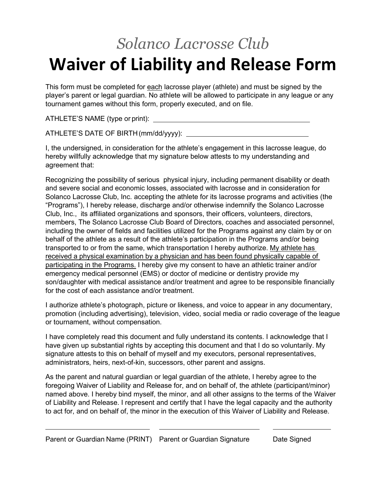## *Solanco Lacrosse Club* **Waiver of Liability and Release Form**

This form must be completed for each lacrosse player (athlete) and must be signed by the player's parent or legal guardian. No athlete will be allowed to participate in any league or any tournament games without this form, properly executed, and on file.

ATHLETE'S NAME (type or print):

ATHLETE'S DATE OF BIRTH(mm/dd/yyyy):

I, the undersigned, in consideration for the athlete's engagement in this lacrosse league, do hereby willfully acknowledge that my signature below attests to my understanding and agreement that:

Recognizing the possibility of serious physical injury, including permanent disability or death and severe social and economic losses, associated with lacrosse and in consideration for Solanco Lacrosse Club, Inc. accepting the athlete for its lacrosse programs and activities (the "Programs"), I hereby release, discharge and/or otherwise indemnify the Solanco Lacrosse Club, Inc., its affiliated organizations and sponsors, their officers, volunteers, directors, members, The Solanco Lacrosse Club Board of Directors, coaches and associated personnel, including the owner of fields and facilities utilized for the Programs against any claim by or on behalf of the athlete as a result of the athlete's participation in the Programs and/or being transported to or from the same, which transportation I hereby authorize. My athlete has received a physical examination by a physician and has been found physically capable of participating in the Programs. I hereby give my consent to have an athletic trainer and/or emergency medical personnel (EMS) or doctor of medicine or dentistry provide my son/daughter with medical assistance and/or treatment and agree to be responsible financially for the cost of each assistance and/or treatment.

I authorize athlete's photograph, picture or likeness, and voice to appear in any documentary, promotion (including advertising), television, video, social media or radio coverage of the league or tournament, without compensation.

I have completely read this document and fully understand its contents. I acknowledge that I have given up substantial rights by accepting this document and that I do so voluntarily. My signature attests to this on behalf of myself and my executors, personal representatives, administrators, heirs, next-of-kin, successors, other parent and assigns.

As the parent and natural guardian or legal guardian of the athlete, I hereby agree to the foregoing Waiver of Liability and Release for, and on behalf of, the athlete (participant/minor) named above. I hereby bind myself, the minor, and all other assigns to the terms of the Waiver of Liability and Release. I represent and certify that I have the legal capacity and the authority to act for, and on behalf of, the minor in the execution of this Waiver of Liability and Release.